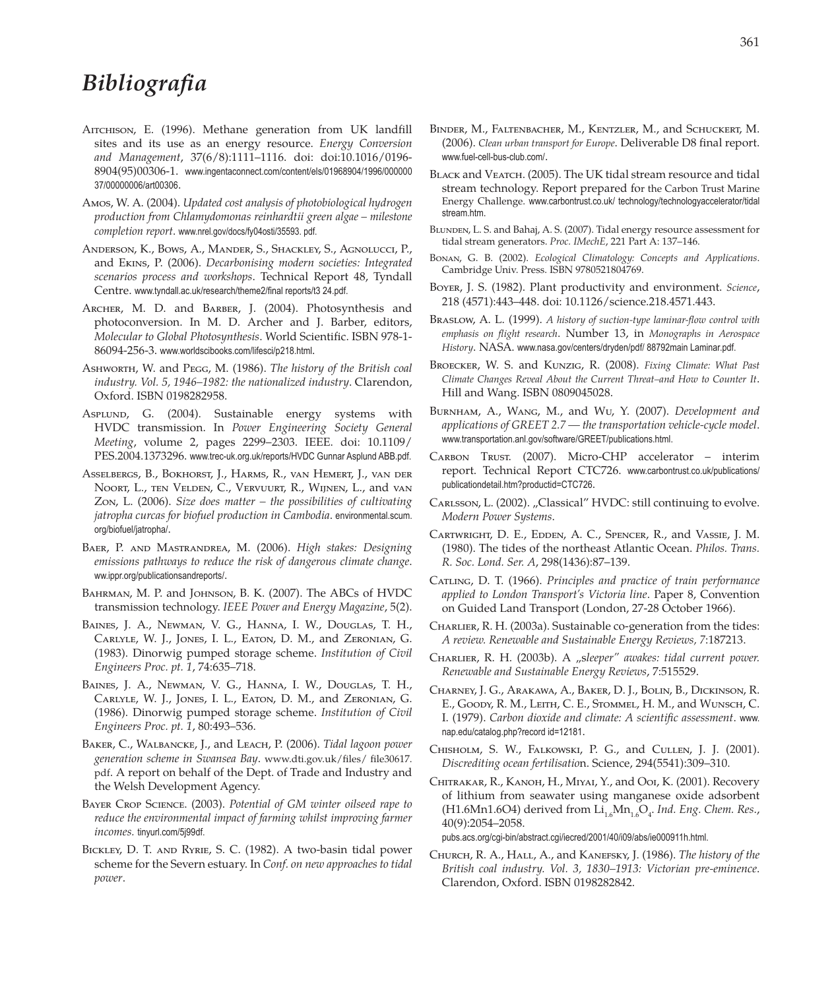## *Bibliografia*

- AITCHISON, E. (1996). Methane generation from UK landfill sites and its use as an energy resource. *Energy Conversion and Management*, 37(6/8):1111–1116. doi: doi:10.1016/0196- 8904(95)00306-1. www.ingentaconnect.com/content/els/01968904/1996/000000 37/00000006/art00306.
- Amos, W. A. (2004). *Updated cost analysis of photobiological hydrogen production from Chlamydomonas reinhardtii green algae – milestone completion report*. www.nrel.gov/docs/fy04osti/35593. pdf.
- Anderson, K., Bows, A., Mander, S., Shackley, S., Agnolucci, P., and Ekins, P. (2006). *Decarbonising modern societies: Integrated scenarios process and workshops*. Technical Report 48, Tyndall Centre. www.tyndall.ac.uk/research/theme2/final reports/t3 24.pdf.
- Archer, M. D. and Barber, J. (2004). Photosynthesis and photoconversion. In M. D. Archer and J. Barber, editors, *Molecular to Global Photosynthesis*. World Scientific. ISBN 978-1- 86094-256-3. www.worldscibooks.com/lifesci/p218.html.
- Ashworth, W. and Pegg, M. (1986). *The history of the British coal industry. Vol. 5, 1946–1982: the nationalized industry*. Clarendon, Oxford. ISBN 0198282958.
- AspLUND, G. (2004). Sustainable energy systems with HVDC transmission. In *Power Engineering Society General Meeting*, volume 2, pages 2299–2303. IEEE. doi: 10.1109/ PES.2004.1373296. www.trec-uk.org.uk/reports/HVDC Gunnar Asplund ABB.pdf.
- Asselbergs, B., Bokhorst, J., Harms, R., van Hemert, J., van der Noort, L., ten Velden, C., Vervuurt, R., Wijnen, L., and van Zon, L. (2006). *Size does matter – the possibilities of cultivating jatropha curcas for biofuel production in Cambodia*. environmental.scum. org/biofuel/jatropha/.
- Baer, P. and Mastrandrea, M. (2006). *High stakes: Designing emissions pathways to reduce the risk of dangerous climate change*. ww.ippr.org/publicationsandreports/.
- BAHRMAN, M. P. and JOHNSON, B. K. (2007). The ABCs of HVDC transmission technology. *IEEE Power and Energy Magazine*, 5(2).
- Baines, J. A., Newman, V. G., Hanna, I. W., Douglas, T. H., Carlyle, W. J., Jones, I. L., Eaton, D. M., and Zeronian, G. (1983). Dinorwig pumped storage scheme. *Institution of Civil Engineers Proc. pt. 1*, 74:635–718.
- Baines, J. A., Newman, V. G., Hanna, I. W., Douglas, T. H., Carlyle, W. J., Jones, I. L., Eaton, D. M., and Zeronian, G. (1986). Dinorwig pumped storage scheme. *Institution of Civil Engineers Proc. pt. 1*, 80:493–536.
- Baker, C., Walbancke, J., and Leach, P. (2006). *Tidal lagoon power generation scheme in Swansea Bay*. www.dti.gov.uk/files/ file30617. pdf. A report on behalf of the Dept. of Trade and Industry and the Welsh Development Agency.
- Bayer Crop Science. (2003). *Potential of GM winter oilseed rape to reduce the environmental impact of farming whilst improving farmer incomes.* tinyurl.com/5j99df.
- Bickley, D. T. and Ryrie, S. C. (1982). A two-basin tidal power scheme for the Severn estuary. In *Conf. on new approaches to tidal power*.
- Binder, M., Faltenbacher, M., Kentzler, M., and Schuckert, M. (2006). *Clean urban transport for Europe*. Deliverable D8 final report. www.fuel-cell-bus-club.com/.
- BLACK and VEATCH. (2005). The UK tidal stream resource and tidal stream technology. Report prepared for the Carbon Trust Marine Energy Challenge. www.carbontrust.co.uk/ technology/technologyaccelerator/tidal stream.htm.
- BLUNDEN, L. S. and Bahaj, A. S. (2007). Tidal energy resource assessment for tidal stream generators. *Proc. IMechE*, 221 Part A: 137–146.
- Bonan, G. B. (2002). *Ecological Climatology: Concepts and Applications*. Cambridge Univ. Press. ISBN 9780521804769.
- Boyer, J. S. (1982). Plant productivity and environment. *Science*, 218 (4571):443–448. doi: 10.1126/science.218.4571.443.
- Braslow, A. L. (1999). *A history of suction-type laminar-flow control with emphasis on flight research*. Number 13, in *Monographs in Aerospace History*. NASA. www.nasa.gov/centers/dryden/pdf/ 88792main Laminar.pdf.
- Broecker, W. S. and Kunzig, R. (2008). *Fixing Climate: What Past Climate Changes Reveal About the Current Threat–and How to Counter It*. Hill and Wang. ISBN 0809045028.
- Burnham, A., Wang, M., and Wu, Y. (2007). *Development and applications of GREET 2.7 — the transportation vehicle-cycle model*. www.transportation.anl.gov/software/GREET/publications.html.
- Carbon Trust. (2007). Micro-CHP accelerator interim report. Technical Report CTC726. www.carbontrust.co.uk/publications/ publicationdetail.htm?productid=CTC726.
- CARLSSON, L. (2002). "Classical" HVDC: still continuing to evolve. *Modern Power Systems*.
- Cartwright, D. E., Edden, A. C., Spencer, R., and Vassie, J. M. (1980). The tides of the northeast Atlantic Ocean. *Philos. Trans. R. Soc. Lond. Ser. A*, 298(1436):87–139.
- Catling, D. T. (1966). *Principles and practice of train performance applied to London Transport's Victoria line*. Paper 8, Convention on Guided Land Transport (London, 27-28 October 1966).
- CHARLIER, R. H. (2003a). Sustainable co-generation from the tides: *A review. Renewable and Sustainable Energy Reviews, 7*:187213.
- CHARLIER, R. H. (2003b). A "sleeper" awakes: tidal current power. *Renewable and Sustainable Energy Reviews*, 7:515529.
- Charney, J. G., Arakawa, A., Baker, D. J., Bolin, B., Dickinson, R. E., Goody, R. M., Leith, C. E., Stommel, H. M., and Wunsch, C. I. (1979). *Carbon dioxide and climate: A scientific assessment*. www. nap.edu/catalog.php?record id=12181.
- Chisholm, S. W., Falkowski, P. G., and Cullen, J. J. (2001). *Discrediting ocean fertilisatio*n. Science, 294(5541):309–310.
- Chitrakar, R., Kanoh, H., Miyai, Y., and Ooi, K. (2001). Recovery of lithium from seawater using manganese oxide adsorbent (H1.6Mn1.6O4) derived from Li<sub>1.6</sub>Mn<sub>1.6</sub>O<sub>4</sub>. Ind. Eng. Chem. Res., 40(9):2054–2058.

pubs.acs.org/cgi-bin/abstract.cgi/iecred/2001/40/i09/abs/ie000911h.html.

Church, R. A., Hall, A., and Kanefsky, J. (1986). *The history of the British coal industry. Vol. 3, 1830–1913: Victorian pre-eminence*. Clarendon, Oxford. ISBN 0198282842.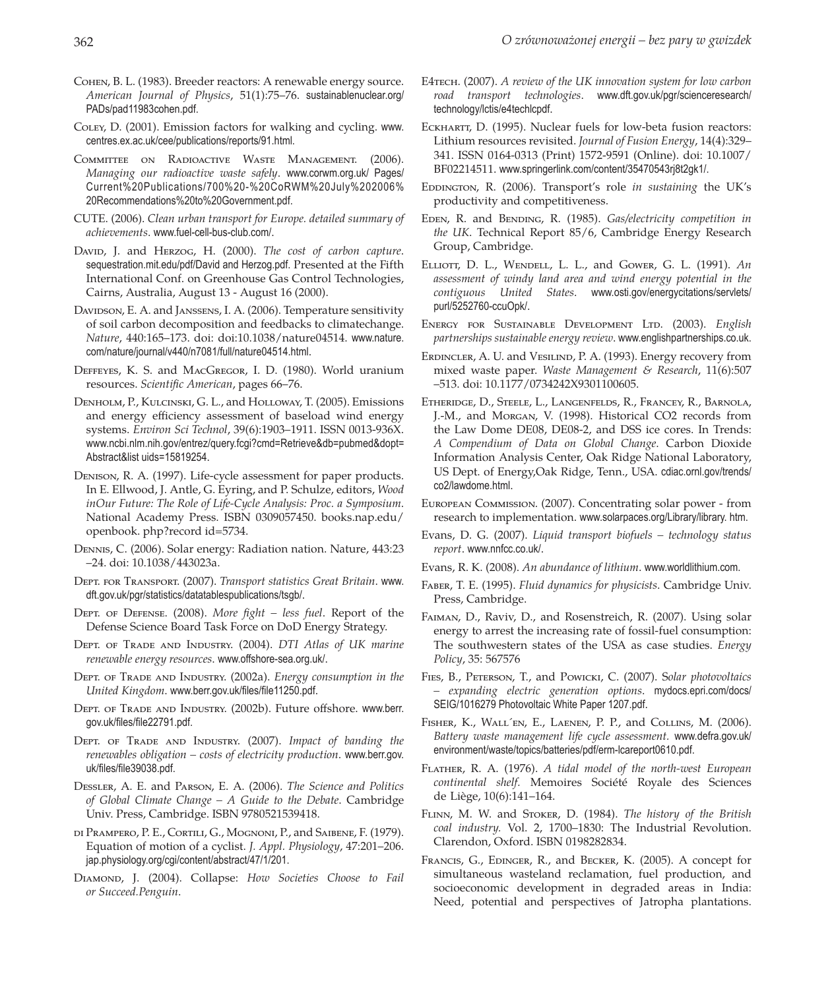- Cohen, B. L. (1983). Breeder reactors: A renewable energy source. *American Journal of Physics*, 51(1):75–76. sustainablenuclear.org/ PADs/pad11983cohen.pdf.
- Coley, D. (2001). Emission factors for walking and cycling. www. centres.ex.ac.uk/cee/publications/reports/91.html.
- COMMITTEE ON RADIOACTIVE WASTE MANAGEMENT. (2006). *Managing our radioactive waste safely*. www.corwm.org.uk/ Pages/ Current%20Publications/700%20-%20CoRWM%20July%202006% 20Recommendations%20to%20Government.pdf.
- CUTE. (2006). *Clean urban transport for Europe. detailed summary of achievements*. www.fuel-cell-bus-club.com/.
- David, J. and HERZOG, H. (2000). *The cost of carbon capture*. sequestration.mit.edu/pdf/David and Herzog.pdf. Presented at the Fifth International Conf. on Greenhouse Gas Control Technologies, Cairns, Australia, August 13 - August 16 (2000).
- Davidson, E. A. and JANSSENS, I. A. (2006). Temperature sensitivity of soil carbon decomposition and feedbacks to climatechange. *Nature*, 440:165–173. doi: doi:10.1038/nature04514. www.nature. com/nature/journal/v440/n7081/full/nature04514.html.
- Deffeyes, K. S. and MacGregor, I. D. (1980). World uranium resources. *Scientific American*, pages 66–76.
- Denholm, P., Kulcinski, G. L., and Holloway, T. (2005). Emissions and energy efficiency assessment of baseload wind energy systems. *Environ Sci Technol*, 39(6):1903–1911. ISSN 0013-936X. www.ncbi.nlm.nih.gov/entrez/query.fcgi?cmd=Retrieve&db=pubmed&dopt= Abstract&list uids=15819254.
- Denison, R. A. (1997). Life-cycle assessment for paper products. In E. Ellwood, J. Antle, G. Eyring, and P. Schulze, editors, *Wood inOur Future: The Role of Life-Cycle Analysis: Proc. a Symposium*. National Academy Press. ISBN 0309057450. books.nap.edu/ openbook. php?record id=5734.
- Dennis, C. (2006). Solar energy: Radiation nation. Nature, 443:23 –24. doi: 10.1038/443023a.
- Dept. for Transport. (2007). *Transport statistics Great Britain*. www. dft.gov.uk/pgr/statistics/datatablespublications/tsgb/.
- Dept. of Defense. (2008). *More fight less fuel*. Report of the Defense Science Board Task Force on DoD Energy Strategy.
- Dept. of Trade and Industry. (2004). *DTI Atlas of UK marine renewable energy resources*. www.offshore-sea.org.uk/.
- Dept. of Trade and Industry. (2002a). *Energy consumption in the United Kingdom*. www.berr.gov.uk/files/file11250.pdf.
- Dept. of Trade and Industry. (2002b). Future offshore. www.berr. gov.uk/files/file22791.pdf.
- DEPT. OF TRADE AND INDUSTRY. (2007). *Impact of banding the renewables obligation – costs of electricity production*. www.berr.gov. uk/files/file39038.pdf.
- Dessler, A. E. and Parson, E. A. (2006). *The Science and Politics of Global Climate Change – A Guide to the Debate*. Cambridge Univ. Press, Cambridge. ISBN 9780521539418.
- di Prampero, P. E., Cortili, G., Mognoni, P., and Saibene, F. (1979). Equation of motion of a cyclist. *J. Appl. Physiology*, 47:201–206. jap.physiology.org/cgi/content/abstract/47/1/201.
- Diamond, J. (2004). Collapse: *How Societies Choose to Fail or Succeed.Penguin*.
- E4tech. (2007). *A review of the UK innovation system for low carbon road transport technologies*. www.dft.gov.uk/pgr/scienceresearch/ technology/lctis/e4techlcpdf.
- ECKHARTT, D. (1995). Nuclear fuels for low-beta fusion reactors: Lithium resources revisited. *Journal of Fusion Energy*, 14(4):329– 341. ISSN 0164-0313 (Print) 1572-9591 (Online). doi: 10.1007/ BF02214511. www.springerlink.com/content/35470543rj8t2gk1/.
- EDDINGTON, R. (2006). Transport's role *in sustaining* the UK's productivity and competitiveness.
- EDEN, R. and BENDING, R. (1985). *Gas/electricity competition in the UK*. Technical Report 85/6, Cambridge Energy Research Group, Cambridge.
- Elliott, D. L., Wendell, L. L., and Gower, G. L. (1991). *An assessment of windy land area and wind energy potential in the contiguous United States*. www.osti.gov/energycitations/servlets/ purl/5252760-ccuOpk/.
- Energy for Sustainable Development Ltd. (2003). *English partnerships sustainable energy review*. www.englishpartnerships.co.uk.
- ERDINCLER, A. U. and VESILIND, P. A. (1993). Energy recovery from mixed waste paper. *Waste Management & Research*, 11(6):507 –513. doi: 10.1177/0734242X9301100605.
- Etheridge, D., Steele, L., Langenfelds, R., Francey, R., Barnola, J.-M., and Morgan, V. (1998). Historical CO2 records from the Law Dome DE08, DE08-2, and DSS ice cores. In Trends: *A Compendium of Data on Global Change*. Carbon Dioxide Information Analysis Center, Oak Ridge National Laboratory, US Dept. of Energy,Oak Ridge, Tenn., USA. cdiac.ornl.gov/trends/ co2/lawdome.html.
- European Commission. (2007). Concentrating solar power from research to implementation. www.solarpaces.org/Library/library. htm.
- Evans, D. G. (2007). *Liquid transport biofuels technology status report*. www.nnfcc.co.uk/.
- Evans, R. K. (2008). *An abundance of lithium*. www.worldlithium.com.
- Faber, T. E. (1995). *Fluid dynamics for physicists*. Cambridge Univ. Press, Cambridge.
- Faiman, D., Raviv, D., and Rosenstreich, R. (2007). Using solar energy to arrest the increasing rate of fossil-fuel consumption: The southwestern states of the USA as case studies. *Energy Policy*, 35: 567576
- Fies, B., Peterson, T., and Powicki, C. (2007). S*olar photovoltaics – expanding electric generation options*. mydocs.epri.com/docs/ SEIG/1016279 Photovoltaic White Paper 1207.pdf.
- Fisher, K., Wall´en, E., Laenen, P. P., and Collins, M. (2006). *Battery waste management life cycle assessment.* www.defra.gov.uk/ environment/waste/topics/batteries/pdf/erm-lcareport0610.pdf.
- Flather, R. A. (1976). *A tidal model of the north-west European continental shelf.* Memoires Société Royale des Sciences de Liège, 10(6):141–164.
- Flinn, M. W. and Stoker, D. (1984). *The history of the British coal industry.* Vol. 2, 1700–1830: The Industrial Revolution. Clarendon, Oxford. ISBN 0198282834.
- FRANCIS, G., EDINGER, R., and BECKER, K. (2005). A concept for simultaneous wasteland reclamation, fuel production, and socioeconomic development in degraded areas in India: Need, potential and perspectives of Jatropha plantations.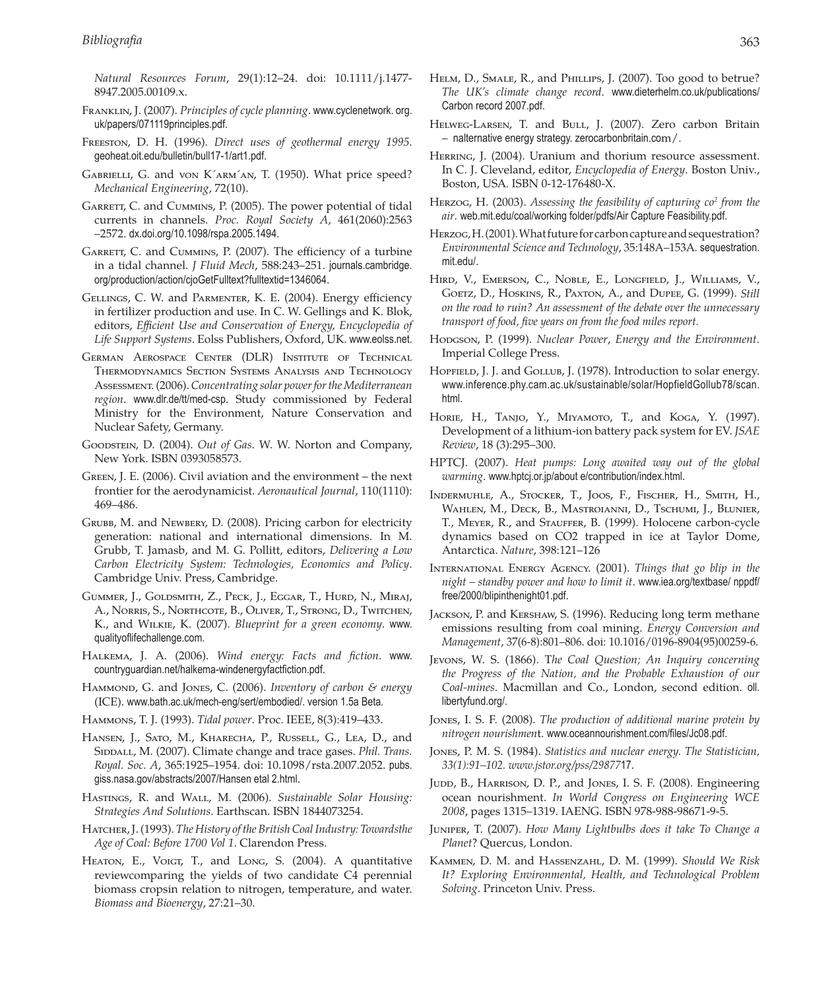*Natural Resources Forum*, 29(1):12–24. doi: 10.1111/j.1477- 8947.2005.00109.x.

- Franklin, J. (2007). *Principles of cycle planning*. www.cyclenetwork. org. uk/papers/071119principles.pdf.
- Freeston, D. H. (1996). *Direct uses of geothermal energy 1995*. geoheat.oit.edu/bulletin/bull17-1/art1.pdf.
- Gabrielli, G. and von K´arm´an, T. (1950). What price speed? *Mechanical Engineering*, 72(10).
- GARRETT, C. and CUMMINS, P. (2005). The power potential of tidal currents in channels. *Proc. Royal Society A*, 461(2060):2563 –2572. dx.doi.org/10.1098/rspa.2005.1494.
- GARRETT, C. and CUMMINS, P. (2007). The efficiency of a turbine in a tidal channel. *J Fluid Mech*, 588:243–251. journals.cambridge. org/production/action/cjoGetFulltext?fulltextid=1346064.
- GELLINGS, C. W. and PARMENTER, K. E. (2004). Energy efficiency in fertilizer production and use. In C. W. Gellings and K. Blok, editors, *Efficient Use and Conservation of Energy, Encyclopedia of Life Support Systems*. Eolss Publishers, Oxford, UK. www.eolss.net.
- German Aerospace Center (DLR) Institute of Technical Thermodynamics Section Systems Analysis and Technology Assessment. (2006). *Concentrating solar power for the Mediterranean region*. www.dlr.de/tt/med-csp. Study commissioned by Federal Ministry for the Environment, Nature Conservation and Nuclear Safety, Germany.
- Goodstein, D. (2004). *Out of Gas*. W. W. Norton and Company, New York. ISBN 0393058573.
- Green, J. E. (2006). Civil aviation and the environment the next frontier for the aerodynamicist. *Aeronautical Journal*, 110(1110): 469–486.
- Grubb, M. and Newbery, D. (2008). Pricing carbon for electricity generation: national and international dimensions. In M. Grubb, T. Jamasb, and M. G. Pollitt, editors, *Delivering a Low Carbon Electricity System: Technologies, Economics and Policy*. Cambridge Univ. Press, Cambridge.
- Gummer, J., Goldsmith, Z., Peck, J., Eggar, T., Hurd, N., Miraj, A., Norris, S., Northcote, B., Oliver, T., Strong, D., Twitchen, K., and Wilkie, K. (2007). *Blueprint for a green economy*. www. qualityoflifechallenge.com.
- Halkema, J. A. (2006). *Wind energy: Facts and fiction*. www. countryguardian.net/halkema-windenergyfactfiction.pdf.
- HAMMOND, G. and JONES, C. (2006). *Inventory of carbon & energy* (ICE). www.bath.ac.uk/mech-eng/sert/embodied/. version 1.5a Beta.
- Hammons, T. J. (1993). *Tidal power*. Proc. IEEE, 8(3):419–433.
- HANSEN, J., SATO, M., KHARECHA, P., RUSSELL, G., LEA, D., and SIDDALL, M. (2007). Climate change and trace gases. *Phil. Trans. Royal. Soc. A*, 365:1925–1954. doi: 10.1098/rsta.2007.2052. pubs. giss.nasa.gov/abstracts/2007/Hansen etal 2.html.
- Hastings, R. and Wall, M. (2006). *Sustainable Solar Housing: Strategies And Solutions*. Earthscan. ISBN 1844073254.
- Hatcher, J. (1993). *The History of the British Coal Industry: Towardsthe Age of Coal: Before 1700 Vol 1*. Clarendon Press.
- HEATON, E., VOIGT, T., and LONG, S. (2004). A quantitative reviewcomparing the yields of two candidate C4 perennial biomass cropsin relation to nitrogen, temperature, and water. *Biomass and Bioenergy*, 27:21–30.
- HELM, D., SMALE, R., and PHILLIPS, J. (2007). Too good to betrue? *The UK's climate change record*. www.dieterhelm.co.uk/publications/ Carbon record 2007.pdf.
- HELWEG-LARSEN, T. and BULL, J. (2007). Zero carbon Britain – nalternative energy strategy. zerocarbonbritain.com/.
- HERRING, J. (2004). Uranium and thorium resource assessment. In C. J. Cleveland, editor, *Encyclopedia of Energy*. Boston Univ., Boston, USA. ISBN 0-12-176480-X.
- Herzog, H. (2003). *Assessing the feasibility of capturing co2 from the air*. web.mit.edu/coal/working folder/pdfs/Air Capture Feasibility.pdf.
- Herzog, H. (2001). What future for carbon capture and sequestration? *Environmental Science and Technology*, 35:148A–153A. sequestration. mit.edu/.
- Hird, V., Emerson, C., Noble, E., Longfield, J., Williams, V., Goetz, D., Hoskins, R., Paxton, A., and Dupee, G. (1999). *Still on the road to ruin? An assessment of the debate over the unnecessary transport of food, five years on from the food miles report.*
- Hodgson, P. (1999). *Nuclear Power*, *Energy and the Environment*. Imperial College Press.
- HOPFIELD, J. J. and GOLLUB, J. (1978). Introduction to solar energy. www.inference.phy.cam.ac.uk/sustainable/solar/HopfieldGollub78/scan. html.
- Horie, H., Tanjo, Y., Miyamoto, T., and Koga, Y. (1997). Development of a lithium-ion battery pack system for EV. *JSAE Review*, 18 (3):295–300.
- HPTCJ. (2007). *Heat pumps: Long awaited way out of the global warming*. www.hptcj.or.jp/about e/contribution/index.html.
- Indermuhle, A., Stocker, T., Joos, F., Fischer, H., Smith, H., Wahlen, M., Deck, B., Mastroianni, D., Tschumi, J., Blunier, T., Meyer, R., and Stauffer, B. (1999). Holocene carbon-cycle dynamics based on CO2 trapped in ice at Taylor Dome, Antarctica. *Nature*, 398:121–126
- International Energy Agency. (2001). *Things that go blip in the night – standby power and how to limit it*. www.iea.org/textbase/ nppdf/ free/2000/blipinthenight01.pdf.
- Jackson, P. and Kershaw, S. (1996). Reducing long term methane emissions resulting from coal mining. *Energy Conversion and Management*, 37(6-8):801–806. doi: 10.1016/0196-8904(95)00259-6.
- Jevons, W. S. (1866). T*he Coal Question; An Inquiry concerning the Progress of the Nation, and the Probable Exhaustion of our Coal-mines*. Macmillan and Co., London, second edition. oll. libertyfund.org/.
- Jones, I. S. F. (2008). *The production of additional marine protein by nitrogen nourishmen*t. www.oceannourishment.com/files/Jc08.pdf.
- Jones, P. M. S. (1984). *Statistics and nuclear energy. The Statistician, 33(1):91–102. www.jstor.org/pss/29877*17.
- JUDD, B., HARRISON, D. P., and JONES, I. S. F. (2008). Engineering ocean nourishment. *In World Congress on Engineering WCE 2008*, pages 1315–1319. IAENG. ISBN 978-988-98671-9-5.
- Juniper, T. (2007). *How Many Lightbulbs does it take To Change a Planet*? Quercus, London.
- Kammen, D. M. and Hassenzahl, D. M. (1999). *Should We Risk It? Exploring Environmental, Health, and Technological Problem Solving*. Princeton Univ. Press.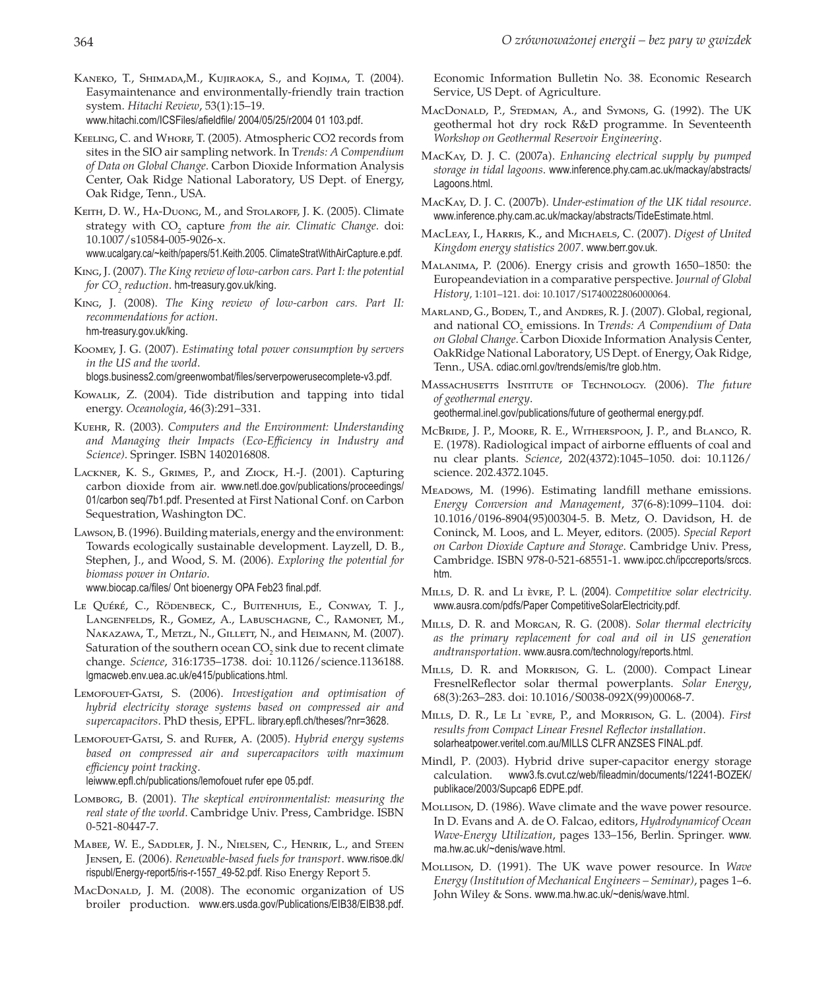- Kaneko, T., Shimada,M., Kujiraoka, S., and Kojima, T. (2004). Easymaintenance and environmentally-friendly train traction system. *Hitachi Review*, 53(1):15–19. www.hitachi.com/ICSFiles/afieldfile/ 2004/05/25/r2004 01 103.pdf.
- KEELING, C. and WHORF, T. (2005). Atmospheric CO2 records from sites in the SIO air sampling network. In T*rends: A Compendium of Data on Global Change*. Carbon Dioxide Information Analysis Center, Oak Ridge National Laboratory, US Dept. of Energy, Oak Ridge, Tenn., USA.
- KEITH, D. W., HA-DUONG, M., and STOLAROFF, J. K. (2005). Climate strategy with  $CO_2$  capture *from the air. Climatic Change*. doi: 10.1007/s10584-005-9026-x.

www.ucalgary.ca/~keith/papers/51.Keith.2005. ClimateStratWithAirCapture.e.pdf.

- King, J. (2007). *The King review of low-carbon cars. Part I: the potential for CO2 reduction*. hm-treasury.gov.uk/king.
- King, J. (2008). *The King review of low-carbon cars. Part II: recommendations for action*. hm-treasury.gov.uk/king.
- Koomey, J. G. (2007). *Estimating total power consumption by servers in the US and the world*.

blogs.business2.com/greenwombat/files/serverpowerusecomplete-v3.pdf.

- Kowalik, Z. (2004). Tide distribution and tapping into tidal energy. *Oceanologia*, 46(3):291–331.
- Kuehr, R. (2003). *Computers and the Environment: Understanding and Managing their Impacts (Eco-Efficiency in Industry and Science)*. Springer. ISBN 1402016808.
- Lackner, K. S., Grimes, P., and Ziock, H.-J. (2001). Capturing carbon dioxide from air. www.netl.doe.gov/publications/proceedings/ 01/carbon seq/7b1.pdf. Presented at First National Conf. on Carbon Sequestration, Washington DC.
- Lawson, B. (1996). Building materials, energy and the environment: Towards ecologically sustainable development. Layzell, D. B., Stephen, J., and Wood, S. M. (2006). *Exploring the potential for biomass power in Ontario*.

www.biocap.ca/files/ Ont bioenergy OPA Feb23 final.pdf.

- Le QuÉrÉ, C., RÖdenbeck, C., Buitenhuis, E., Conway, T. J., Langenfelds, R., Gomez, A., Labuschagne, C., Ramonet, M., Nakazawa, T., Metzl, N., Gillett, N., and Heimann, M. (2007). Saturation of the southern ocean  $\mathrm{CO}_2$  sink due to recent climate change. *Science*, 316:1735–1738. doi: 10.1126/science.1136188. lgmacweb.env.uea.ac.uk/e415/publications.html.
- Lemofouet-Gatsi, S. (2006). *Investigation and optimisation of hybrid electricity storage systems based on compressed air and supercapacitors*. PhD thesis, EPFL. library.epfl.ch/theses/?nr=3628.
- Lemofouet-Gatsi, S. and Rufer, A. (2005). *Hybrid energy systems based on compressed air and supercapacitors with maximum efficiency point tracking*. leiwww.epfl.ch/publications/lemofouet rufer epe 05.pdf.
- Lomborg, B. (2001). *The skeptical environmentalist: measuring the real state of the world*. Cambridge Univ. Press, Cambridge. ISBN 0-521-80447-7.
- Mabee, W. E., Saddler, J. N., Nielsen, C., Henrik, L., and Steen Jensen, E. (2006). *Renewable-based fuels for transport*. www.risoe.dk/ rispubl/Energy-report5/ris-r-1557\_49-52.pdf. Riso Energy Report 5.
- MacDonald, J. M. (2008). The economic organization of US broiler production. www.ers.usda.gov/Publications/EIB38/EIB38.pdf.

Economic Information Bulletin No. 38. Economic Research Service, US Dept. of Agriculture.

- MacDonald, P., Stedman, A., and Symons, G. (1992). The UK geothermal hot dry rock R&D programme. In Seventeenth *Workshop on Geothermal Reservoir Engineering*.
- MacKay, D. J. C. (2007a). *Enhancing electrical supply by pumped storage in tidal lagoons*. www.inference.phy.cam.ac.uk/mackay/abstracts/ Lagoons.html.
- MacKay, D. J. C. (2007b). *Under-estimation of the UK tidal resource*. www.inference.phy.cam.ac.uk/mackay/abstracts/TideEstimate.html.
- MacLeay, I., Harris, K., and Michaels, C. (2007). *Digest of United Kingdom energy statistics 2007*. www.berr.gov.uk.
- Malanima, P. (2006). Energy crisis and growth 1650–1850: the Europeandeviation in a comparative perspective. J*ournal of Global History*, 1:101–121. doi: 10.1017/S1740022806000064.
- MARLAND, G., BODEN, T., and ANDRES, R. J. (2007). Global, regional, and national CO<sub>2</sub> emissions. In Trends: A Compendium of Data *on Global Change*. Carbon Dioxide Information Analysis Center, OakRidge National Laboratory, US Dept. of Energy, Oak Ridge, Tenn., USA. cdiac.ornl.gov/trends/emis/tre glob.htm.
- Massachusetts Institute of Technology. (2006). *The future of geothermal energy*.

geothermal.inel.gov/publications/future of geothermal energy.pdf.

- McBride, J. P., Moore, R. E., Witherspoon, J. P., and Blanco, R. E. (1978). Radiological impact of airborne effluents of coal and nu clear plants. *Science*, 202(4372):1045–1050. doi: 10.1126/ science. 202.4372.1045.
- MEADOWS, M. (1996). Estimating landfill methane emissions. *Energy Conversion and Management*, 37(6-8):1099–1104. doi: 10.1016/0196-8904(95)00304-5. B. Metz, O. Davidson, H. de Coninck, M. Loos, and L. Meyer, editors. (2005). *Special Report on Carbon Dioxide Capture and Storage*. Cambridge Univ. Press, Cambridge. ISBN 978-0-521-68551-1. www.ipcc.ch/ipccreports/srccs. htm.
- Mills, D. R. and Li Èvre, P. L. (2004). *Competitive solar electricity*. www.ausra.com/pdfs/Paper CompetitiveSolarElectricity.pdf.
- Mills, D. R. and Morgan, R. G. (2008). *Solar thermal electricity as the primary replacement for coal and oil in US generation andtransportation*. www.ausra.com/technology/reports.html.
- MILLS, D. R. and Morrison, G. L. (2000). Compact Linear FresnelReflector solar thermal powerplants. *Solar Energy*, 68(3):263–283. doi: 10.1016/S0038-092X(99)00068-7.
- Mills, D. R., Le Li `evre, P., and Morrison, G. L. (2004). *First results from Compact Linear Fresnel Reflector installation*. solarheatpower.veritel.com.au/MILLS CLFR ANZSES FINAL.pdf.
- Mindl, P. (2003). Hybrid drive super-capacitor energy storage calculation. www3.fs.cvut.cz/web/fileadmin/documents/12241-BOZEK/ publikace/2003/Supcap6 EDPE.pdf.
- MoLLISON, D. (1986). Wave climate and the wave power resource. In D. Evans and A. de O. Falcao, editors, *Hydrodynamicof Ocean Wave-Energy Utilization*, pages 133–156, Berlin. Springer. www. ma.hw.ac.uk/~denis/wave.html.
- Mollison, D. (1991). The UK wave power resource. In *Wave Energy (Institution of Mechanical Engineers – Seminar)*, pages 1–6. John Wiley & Sons. www.ma.hw.ac.uk/~denis/wave.html.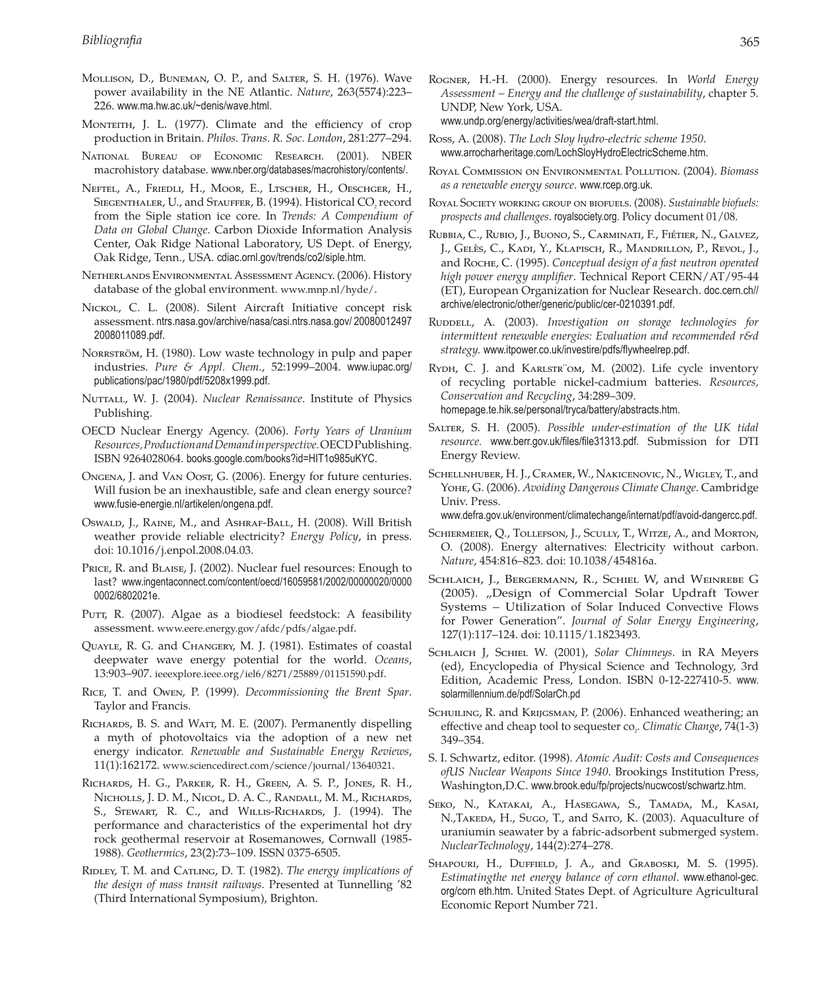- Mollison, D., Buneman, O. P., and Salter, S. H. (1976). Wave power availability in the NE Atlantic. *Nature*, 263(5574):223– 226. www.ma.hw.ac.uk/~denis/wave.html.
- MONTEITH, J. L. (1977). Climate and the efficiency of crop production in Britain. *Philos. Trans. R. Soc. London*, 281:277–294.
- National Bureau of Economic Research. (2001). NBER macrohistory database. www.nber.org/databases/macrohistory/contents/.
- Neftel, A., Friedli, H., Moor, E., Ltscher, H., Oeschger, H., SIEGENTHALER, U., and STAUFFER, B. (1994). Historical CO<sub>2</sub> record from the Siple station ice core. In *Trends: A Compendium of Data on Global Change*. Carbon Dioxide Information Analysis Center, Oak Ridge National Laboratory, US Dept. of Energy, Oak Ridge, Tenn., USA. cdiac.ornl.gov/trends/co2/siple.htm.
- Netherlands Environmental Assessment Agency. (2006). History database of the global environment. www.mnp.nl/hyde/.
- NICKOL, C. L. (2008). Silent Aircraft Initiative concept risk assessment. ntrs.nasa.gov/archive/nasa/casi.ntrs.nasa.gov/ 20080012497 2008011089.pdf.
- NORRSTRÖM, H. (1980). Low waste technology in pulp and paper industries. *Pure & Appl. Chem.*, 52:1999–2004. www.iupac.org/ publications/pac/1980/pdf/5208x1999.pdf.
- Nuttall, W. J. (2004). *Nuclear Renaissance*. Institute of Physics Publishing.
- OECD Nuclear Energy Agency. (2006). *Forty Years of Uranium Resources, Production and Demand in perspective*. OECD Publishing. ISBN 9264028064. books.google.com/books?id=HIT1o985uKYC.
- Ongena, J. and Van Oost, G. (2006). Energy for future centuries. Will fusion be an inexhaustible, safe and clean energy source? www.fusie-energie.nl/artikelen/ongena.pdf.
- Oswald, J., RAINE, M., and ASHRAF-BALL, H. (2008). Will British weather provide reliable electricity? *Energy Policy*, in press. doi: 10.1016/j.enpol.2008.04.03.
- PRICE, R. and BLAISE, J. (2002). Nuclear fuel resources: Enough to last? www.ingentaconnect.com/content/oecd/16059581/2002/00000020/0000 0002/6802021e.
- PUTT, R. (2007). Algae as a biodiesel feedstock: A feasibility assessment. www.eere.energy.gov/afdc/pdfs/algae.pdf.
- Quayle, R. G. and Changery, M. J. (1981). Estimates of coastal deepwater wave energy potential for the world. *Oceans*, 13:903–907. ieeexplore.ieee.org/iel6/8271/25889/01151590.pdf.
- Rice, T. and Owen, P. (1999). *Decommissioning the Brent Spar*. Taylor and Francis.
- RICHARDS, B. S. and WATT, M. E. (2007). Permanently dispelling a myth of photovoltaics via the adoption of a new net energy indicator. *Renewable and Sustainable Energy Reviews*, 11(1):162172. www.sciencedirect.com/science/journal/13640321.
- Richards, H. G., Parker, R. H., Green, A. S. P., Jones, R. H., Nicholls, J. D. M., Nicol, D. A. C., Randall, M. M., Richards, S., STEWART, R. C., and WILLIS-RICHARDS, J. (1994). The performance and characteristics of the experimental hot dry rock geothermal reservoir at Rosemanowes, Cornwall (1985- 1988). *Geothermics*, 23(2):73–109. ISSN 0375-6505.
- RIDLEY, T. M. and CATLING, D. T. (1982). *The energy implications of the design of mass transit railways*. Presented at Tunnelling '82 (Third International Symposium), Brighton.
- Rogner, H.-H. (2000). Energy resources. In *World Energy Assessment – Energy and the challenge of sustainability*, chapter 5. UNDP, New York, USA. www.undp.org/energy/activities/wea/draft-start.html.
- Ross, A. (2008). *The Loch Sloy hydro-electric scheme 1950*. www.arrocharheritage.com/LochSloyHydroElectricScheme.htm.
- Royal Commission on Environmental Pollution. (2004). *Biomass as a renewable energy source*. www.rcep.org.uk.
- Royal Society working group on biofuels. (2008). *Sustainable biofuels: prospects and challenges*. royalsociety.org. Policy document 01/08.
- Rubbia, C., Rubio, J., Buono, S., Carminati, F., FiÉtier, N., Galvez, J., GelÈs, C., Kadi, Y., Klapisch, R., Mandrillon, P., Revol, J., and Roche, C. (1995). *Conceptual design of a fast neutron operated high power energy amplifier*. Technical Report CERN/AT/95-44 (ET), European Organization for Nuclear Research. doc.cern.ch// archive/electronic/other/generic/public/cer-0210391.pdf.
- RUDDELL, A. (2003). *Investigation on storage technologies for intermittent renewable energies: Evaluation and recommended r&d strategy.* www.itpower.co.uk/investire/pdfs/flywheelrep.pdf.
- RYDH, C. J. and KARLSTR<sup>"</sup>OM, M. (2002). Life cycle inventory of recycling portable nickel-cadmium batteries. *Resources, Conservation and Recycling*, 34:289–309. homepage.te.hik.se/personal/tryca/battery/abstracts.htm.
- Salter, S. H. (2005). *Possible under-estimation of the UK tidal resource.* www.berr.gov.uk/files/file31313.pdf. Submission for DTI Energy Review.
- Schellnhuber, H. J., Cramer, W., Nakicenovic, N., Wigley, T., and Yohe, G. (2006). *Avoiding Dangerous Climate Change*. Cambridge Univ. Press.

www.defra.gov.uk/environment/climatechange/internat/pdf/avoid-dangercc.pdf.

- SCHIERMEIER, Q., TOLLEFSON, J., SCULLY, T., WITZE, A., and MORTON, O. (2008). Energy alternatives: Electricity without carbon. *Nature*, 454:816–823. doi: 10.1038/454816a.
- Schlaich, J., Bergermann, R., Schiel W, and Weinrebe G (2005). "Design of Commercial Solar Updraft Tower Systems – Utilization of Solar Induced Convective Flows for Power Generation". *Journal of Solar Energy Engineering*, 127(1):117–124. doi: 10.1115/1.1823493.
- Schlaich J, Schiel W. (2001), *Solar Chimneys*. in RA Meyers (ed), Encyclopedia of Physical Science and Technology, 3rd Edition, Academic Press, London. ISBN 0-12-227410-5. www. solarmillennium.de/pdf/SolarCh.pd
- SCHUILING, R. and KRIJGSMAN, P. (2006). Enhanced weathering; an effective and cheap tool to sequester co<sub>2</sub>. *Climatic Change*, 74(1-3) 349–354.
- S. I. Schwartz, editor. (1998). *Atomic Audit: Costs and Consequences ofUS Nuclear Weapons Since 1940*. Brookings Institution Press, Washington,D.C. www.brook.edu/fp/projects/nucwcost/schwartz.htm.
- Seko, N., Katakai, A., Hasegawa, S., Tamada, M., Kasai, N.,TAKEDA, H., Sugo, T., and SAITO, K. (2003). Aquaculture of uraniumin seawater by a fabric-adsorbent submerged system. *NuclearTechnology*, 144(2):274–278.
- SHAPOURI, H., DUFFIELD, J. A., and GRABOSKI, M. S. (1995). *Estimatingthe net energy balance of corn ethanol*. www.ethanol-gec. org/corn eth.htm. United States Dept. of Agriculture Agricultural Economic Report Number 721.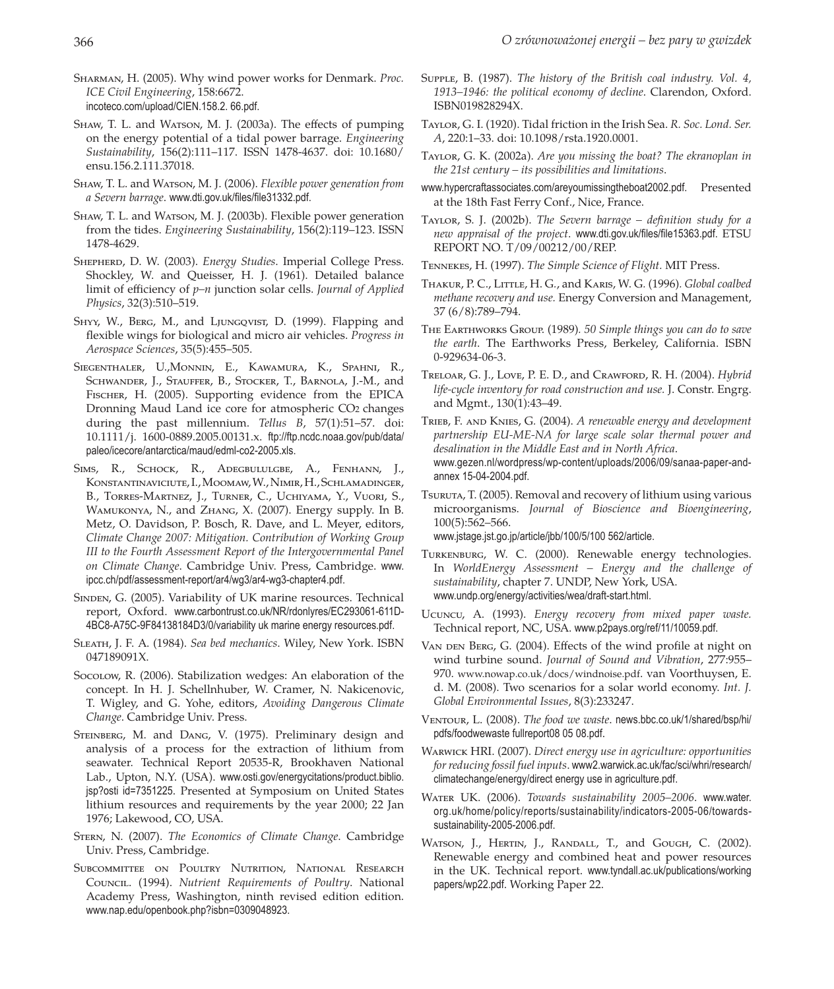- Sharman, H. (2005). Why wind power works for Denmark. *Proc. ICE Civil Engineering*, 158:6672. incoteco.com/upload/CIEN.158.2. 66.pdf.
- SHAW, T. L. and WATSON, M. J. (2003a). The effects of pumping on the energy potential of a tidal power barrage. *Engineering Sustainability*, 156(2):111–117. ISSN 1478-4637. doi: 10.1680/ ensu.156.2.111.37018.
- Shaw, T. L. and Watson, M. J. (2006). *Flexible power generation from a Severn barrage*. www.dti.gov.uk/files/file31332.pdf.
- Shaw, T. L. and Watson, M. J. (2003b). Flexible power generation from the tides. *Engineering Sustainability*, 156(2):119–123. ISSN 1478-4629.
- Shepherd, D. W. (2003). *Energy Studies*. Imperial College Press. Shockley, W. and Queisser, H. J. (1961). Detailed balance limit of efficiency of *p–n* junction solar cells. *Journal of Applied Physics*, 32(3):510–519.
- SHYY, W., BERG, M., and LJUNGQVIST, D. (1999). Flapping and flexible wings for biological and micro air vehicles. *Progress in Aerospace Sciences*, 35(5):455–505.
- Siegenthaler, U.,Monnin, E., Kawamura, K., Spahni, R., SCHWANDER, J., STAUFFER, B., STOCKER, T., BARNOLA, J.-M., and Fischer, H. (2005). Supporting evidence from the EPICA Dronning Maud Land ice core for atmospheric CO2 changes during the past millennium. *Tellus B*, 57(1):51–57. doi: 10.1111/j. 1600-0889.2005.00131.x. ftp://ftp.ncdc.noaa.gov/pub/data/ paleo/icecore/antarctica/maud/edml-co2-2005.xls.
- Sims, R., Schock, R., Adegbululgbe, A., Fenhann, J., Konstantinaviciute, I., Moomaw, W., Nimir, H., Schlamadinger, B., Torres-Martnez, J., Turner, C., Uchiyama, Y., Vuori, S., Wamukonya, N., and Zhang, X. (2007). Energy supply. In B. Metz, O. Davidson, P. Bosch, R. Dave, and L. Meyer, editors, *Climate Change 2007: Mitigation. Contribution of Working Group III to the Fourth Assessment Report of the Intergovernmental Panel on Climate Change*. Cambridge Univ. Press, Cambridge. www. ipcc.ch/pdf/assessment-report/ar4/wg3/ar4-wg3-chapter4.pdf.
- SINDEN, G. (2005). Variability of UK marine resources. Technical report, Oxford. www.carbontrust.co.uk/NR/rdonlyres/EC293061-611D-4BC8-A75C-9F84138184D3/0/variability uk marine energy resources.pdf.
- Sleath, J. F. A. (1984). *Sea bed mechanics*. Wiley, New York. ISBN 047189091X.
- Socolow, R. (2006). Stabilization wedges: An elaboration of the concept. In H. J. Schellnhuber, W. Cramer, N. Nakicenovic, T. Wigley, and G. Yohe, editors, *Avoiding Dangerous Climate Change*. Cambridge Univ. Press.
- STEINBERG, M. and DANG, V. (1975). Preliminary design and analysis of a process for the extraction of lithium from seawater. Technical Report 20535-R, Brookhaven National Lab., Upton, N.Y. (USA). www.osti.gov/energycitations/product.biblio. jsp?osti id=7351225. Presented at Symposium on United States lithium resources and requirements by the year 2000; 22 Jan 1976; Lakewood, CO, USA.
- Stern, N. (2007). *The Economics of Climate Change*. Cambridge Univ. Press, Cambridge.
- SUBCOMMITTEE ON POULTRY NUTRITION, NATIONAL RESEARCH Council. (1994). *Nutrient Requirements of Poultry*. National Academy Press, Washington, ninth revised edition edition. www.nap.edu/openbook.php?isbn=0309048923.
- Supple, B. (1987). *The history of the British coal industry. Vol. 4*, *1913–1946: the political economy of decline*. Clarendon, Oxford. ISBN019828294X.
- Taylor, G. I. (1920). Tidal friction in the Irish Sea. *R. Soc. Lond. Ser. A*, 220:1–33. doi: 10.1098/rsta.1920.0001.
- Taylor, G. K. (2002a). *Are you missing the boat? The ekranoplan in the 21st century – its possibilities and limitations*.
- www.hypercraftassociates.com/areyoumissingtheboat2002.pdf. Presented at the 18th Fast Ferry Conf., Nice, France.
- Taylor, S. J. (2002b). *The Severn barrage definition study for a new appraisal of the project*. www.dti.gov.uk/files/file15363.pdf. ETSU REPORT NO. T/09/00212/00/REP.
- Tennekes, H. (1997). *The Simple Science of Flight.* MIT Press.
- Thakur, P. C., Little, H. G*.*, and Karis, W. G*.* (1996)*. Global coalbed methane recovery and use.* Energy Conversion and Management, 37 (6/8):789–794.
- The Earthworks Group. (1989)*. 50 Simple things you can do to save the earth*. The Earthworks Press, Berkeley, California. ISBN 0-929634-06-3.
- Treloar, G. J., Love, P. E. D*.*, and Crawford, R. H. *(*2004). *Hybrid life-cycle inventory for road construction and use.* J. Constr. Engrg. and Mgmt., 130(1):43–49.
- Trieb, F. and Knies, G*.* (2004). *A renewable energy and development partnership EU-ME-NA for large scale solar thermal power and desalination in the Middle East and in North Africa*. www.gezen.nl/wordpress/wp-content/uploads/2006/09/sanaa-paper-andannex 15-04-2004.pdf.
- Tsuruta, T. (2005). Removal and recovery of lithium using various microorganisms. *Journal of Bioscience and Bioengineering*, 100(5):562–566.

www.jstage.jst.go.jp/article/jbb/100/5/100 562/article.

- Turkenburg, W. C. (2000). Renewable energy technologies. In *WorldEnergy Assessment – Energy and the challenge of sustainability*, chapter 7. UNDP, New York, USA. www.undp.org/energy/activities/wea/draft-start.html.
- Ucuncu, A. (1993). *Energy recovery from mixed paper waste.*  Technical report, NC, USA. www.p2pays.org/ref/11/10059.pdf.
- VAN DEN BERG, G. (2004). Effects of the wind profile at night on wind turbine sound. *Journal of Sound and Vibration*, 277:955– 970. www.nowap.co.uk/docs/windnoise.pdf. van Voorthuysen, E. d. M. (2008). Two scenarios for a solar world economy. *Int. J. Global Environmental Issues*, 8(3):233247.
- Ventour, L. (2008). *The food we waste*. news.bbc.co.uk/1/shared/bsp/hi/ pdfs/foodwewaste fullreport08 05 08.pdf.
- Warwick HRI. (2007). *Direct energy use in agriculture: opportunities for reducing fossil fuel inputs*. www2.warwick.ac.uk/fac/sci/whri/research/ climatechange/energy/direct energy use in agriculture.pdf.
- Water UK. (2006). *Towards sustainability 2005–2006*. www.water. org.uk/home/policy/reports/sustainability/indicators-2005-06/towardssustainability-2005-2006.pdf.
- WATSON, J., HERTIN, J., RANDALL, T., and GOUGH, C. (2002). Renewable energy and combined heat and power resources in the UK. Technical report. www.tyndall.ac.uk/publications/working papers/wp22.pdf. Working Paper 22.